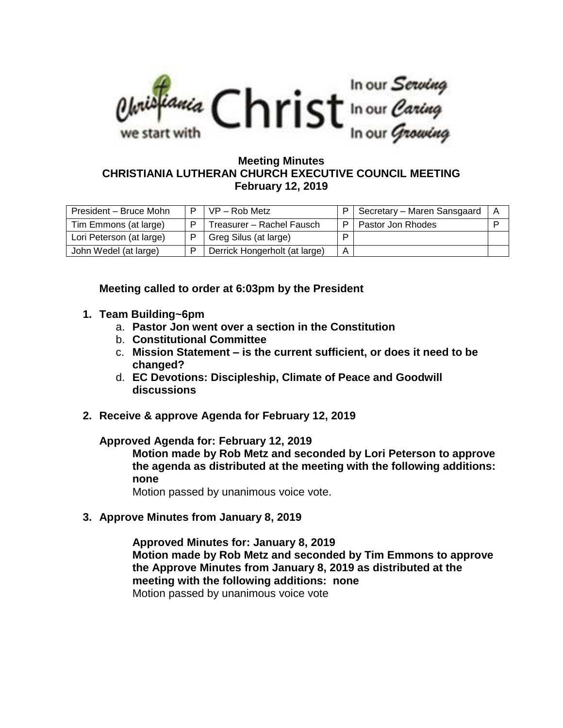

## **Meeting Minutes CHRISTIANIA LUTHERAN CHURCH EXECUTIVE COUNCIL MEETING February 12, 2019**

| President - Bruce Mohn   | $VP - Rob Metz$               |   | Secretary - Maren Sansgaard | A |
|--------------------------|-------------------------------|---|-----------------------------|---|
| Tim Emmons (at large)    | Treasurer – Rachel Fausch     | Þ | Pastor Jon Rhodes           | D |
| Lori Peterson (at large) | Greg Silus (at large)         | ם |                             |   |
| John Wedel (at large)    | Derrick Hongerholt (at large) | A |                             |   |

**Meeting called to order at 6:03pm by the President**

- **1. Team Building~6pm**
	- a. **Pastor Jon went over a section in the Constitution**
	- b. **Constitutional Committee**
	- c. **Mission Statement – is the current sufficient, or does it need to be changed?**
	- d. **EC Devotions: Discipleship, Climate of Peace and Goodwill discussions**
- **2. Receive & approve Agenda for February 12, 2019**

## **Approved Agenda for: February 12, 2019**

**Motion made by Rob Metz and seconded by Lori Peterson to approve the agenda as distributed at the meeting with the following additions: none**

Motion passed by unanimous voice vote.

**3. Approve Minutes from January 8, 2019**

**Approved Minutes for: January 8, 2019 Motion made by Rob Metz and seconded by Tim Emmons to approve the Approve Minutes from January 8, 2019 as distributed at the meeting with the following additions: none** Motion passed by unanimous voice vote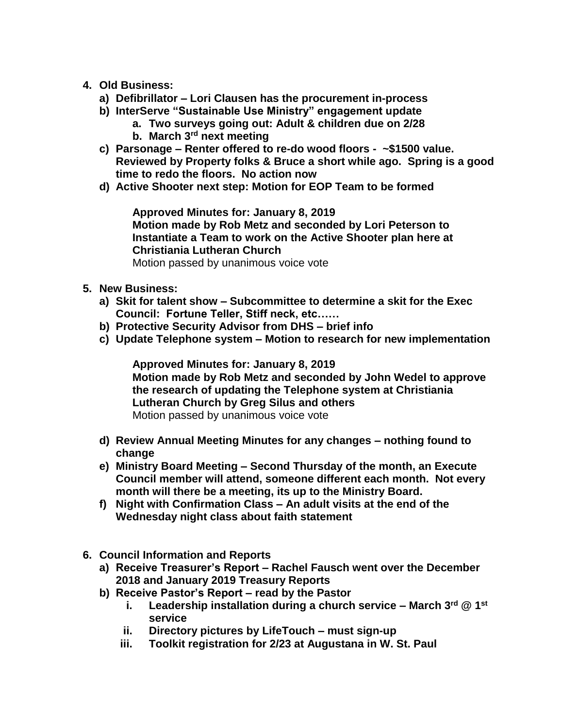- **4. Old Business:**
	- **a) Defibrillator – Lori Clausen has the procurement in-process**
	- **b) InterServe "Sustainable Use Ministry" engagement update**
		- **a. Two surveys going out: Adult & children due on 2/28**
		- **b. March 3rd next meeting**
	- **c) Parsonage – Renter offered to re-do wood floors - ~\$1500 value. Reviewed by Property folks & Bruce a short while ago. Spring is a good time to redo the floors. No action now**
	- **d) Active Shooter next step: Motion for EOP Team to be formed**

**Approved Minutes for: January 8, 2019 Motion made by Rob Metz and seconded by Lori Peterson to Instantiate a Team to work on the Active Shooter plan here at Christiania Lutheran Church** Motion passed by unanimous voice vote

- **5. New Business:** 
	- **a) Skit for talent show – Subcommittee to determine a skit for the Exec Council: Fortune Teller, Stiff neck, etc……**
	- **b) Protective Security Advisor from DHS – brief info**
	- **c) Update Telephone system – Motion to research for new implementation**

**Approved Minutes for: January 8, 2019 Motion made by Rob Metz and seconded by John Wedel to approve the research of updating the Telephone system at Christiania Lutheran Church by Greg Silus and others** Motion passed by unanimous voice vote

- **d) Review Annual Meeting Minutes for any changes – nothing found to change**
- **e) Ministry Board Meeting – Second Thursday of the month, an Execute Council member will attend, someone different each month. Not every month will there be a meeting, its up to the Ministry Board.**
- **f) Night with Confirmation Class – An adult visits at the end of the Wednesday night class about faith statement**
- **6. Council Information and Reports**
	- **a) Receive Treasurer's Report – Rachel Fausch went over the December 2018 and January 2019 Treasury Reports**
	- **b) Receive Pastor's Report – read by the Pastor**
		- **i. Leadership installation during a church service – March 3rd @ 1st service**
		- **ii. Directory pictures by LifeTouch – must sign-up**
		- **iii. Toolkit registration for 2/23 at Augustana in W. St. Paul**